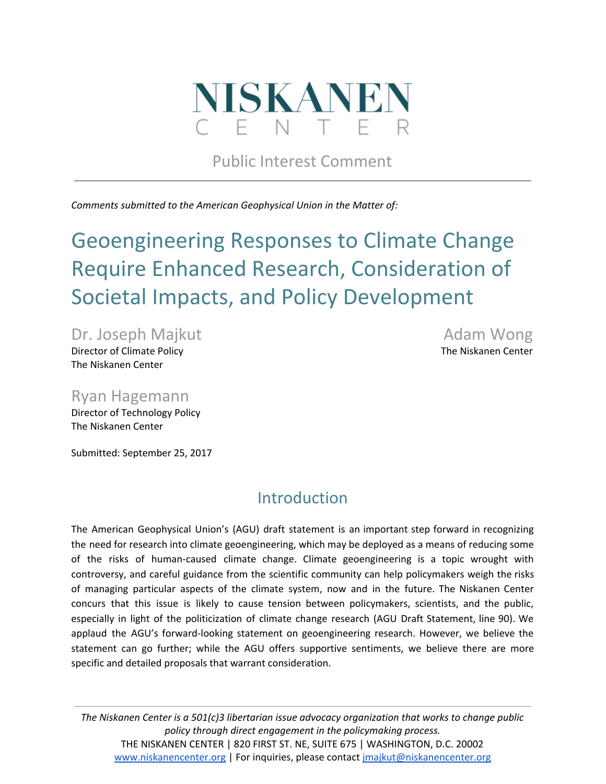

Public Interest Comment

*Comments submitted to the American Geophysical Union in the Matter of:*

# Geoengineering Responses to Climate Change Require Enhanced Research, Consideration of Societal Impacts, and Policy Development

Dr. Joseph Majkut **Adam Wong** Director of Climate Policy The Niskanen Center Center Center Center The Niskanen Center The Niskanen Center

Ryan Hagemann

Director of Technology Policy The Niskanen Center

Submitted: September 25, 2017

# Introduction

The American Geophysical Union's (AGU) draft statement is an important step forward in recognizing the need for research into climate geoengineering, which may be deployed as a means of reducing some of the risks of human-caused climate change. Climate geoengineering is a topic wrought with controversy, and careful guidance from the scientific community can help policymakers weigh the risks of managing particular aspects of the climate system, now and in the future. The Niskanen Center concurs that this issue is likely to cause tension between policymakers, scientists, and the public, especially in light of the politicization of climate change research (AGU Draft Statement, line 90). We applaud the AGU's forward-looking statement on geoengineering research. However, we believe the statement can go further; while the AGU offers supportive sentiments, we believe there are more specific and detailed proposals that warrant consideration.

*The Niskanen Center is a 501(c)3 libertarian issue advocacy organization that works to change public policy through direct engagement in the policymaking process.* THE NISKANEN CENTER | 820 FIRST ST. NE, SUITE 675 | WASHINGTON, D.C. 20002 [www.niskanencenter.org](http://www.niskanencenter.org/) | For inquiries, please contact [jmajkut@niskanencenter.org](mailto:jmajkut@niskanencenter.org)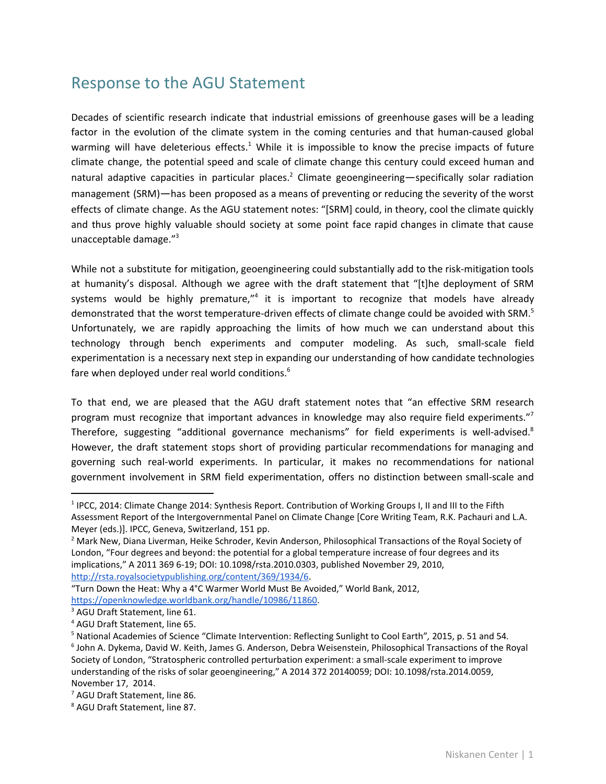# Response to the AGU Statement

Decades of scientific research indicate that industrial emissions of greenhouse gases will be a leading factor in the evolution of the climate system in the coming centuries and that human-caused global warming will have deleterious effects.<sup>1</sup> While it is impossible to know the precise impacts of future climate change, the potential speed and scale of climate change this century could exceed human and natural adaptive capacities in particular places.<sup>2</sup> Climate geoengineering—specifically solar radiation management (SRM)—has been proposed as a means of preventing or reducing the severity of the worst effects of climate change. As the AGU statement notes: "[SRM] could, in theory, cool the climate quickly and thus prove highly valuable should society at some point face rapid changes in climate that cause unacceptable damage." 3

While not a substitute for mitigation, geoengineering could substantially add to the risk-mitigation tools at humanity's disposal. Although we agree with the draft statement that "[t]he deployment of SRM systems would be highly premature,"<sup>4</sup> it is important to recognize that models have already demonstrated that the worst temperature-driven effects of climate change could be avoided with SRM.<sup>5</sup> Unfortunately, we are rapidly approaching the limits of how much we can understand about this technology through bench experiments and computer modeling. As such, small-scale field experimentation is a necessary next step in expanding our understanding of how candidate technologies fare when deployed under real world conditions.<sup>6</sup>

To that end, we are pleased that the AGU draft statement notes that "an effective SRM research program must recognize that important advances in knowledge may also require field experiments."<sup>7</sup> Therefore, suggesting "additional governance mechanisms" for field experiments is well-advised.<sup>8</sup> However, the draft statement stops short of providing particular recommendations for managing and governing such real-world experiments. In particular, it makes no recommendations for national government involvement in SRM field experimentation, offers no distinction between small-scale and

<sup>&</sup>lt;sup>1</sup> IPCC, 2014: Climate Change 2014: Synthesis Report. Contribution of Working Groups I, II and III to the Fifth Assessment Report of the Intergovernmental Panel on Climate Change [Core Writing Team, R.K. Pachauri and L.A. Meyer (eds.)]. IPCC, Geneva, Switzerland, 151 pp.

<sup>2</sup> Mark New, Diana Liverman, Heike Schroder, Kevin Anderson, Philosophical Transactions of the Royal Society of London, "Four degrees and beyond: the potential for a global temperature increase of four degrees and its implications," A 2011 369 6-19; DOI: 10.1098/rsta.2010.0303, published November 29, 2010, [http://rsta.royalsocietypublishing.org/content/369/1934/6.](http://rsta.royalsocietypublishing.org/content/369/1934/6)

<sup>&</sup>quot;Turn Down the Heat: Why a 4°C Warmer World Must Be Avoided," World Bank, 2012, [https://openknowledge.worldbank.org/handle/10986/11860.](https://openknowledge.worldbank.org/handle/10986/11860)

<sup>3</sup> AGU Draft Statement, line 61.

<sup>4</sup> AGU Draft Statement, line 65.

<sup>5</sup> National Academies of Science "Climate Intervention: Reflecting Sunlight to Cool Earth"*,* 2015, p. 51 and 54*.* 6 John A. Dykema, David W. Keith, James G. Anderson, Debra Weisenstein, Philosophical Transactions of the Royal Society of London, "Stratospheric controlled perturbation experiment: a small-scale experiment to improve

understanding of the risks of solar geoengineering," A 2014 372 20140059; DOI: 10.1098/rsta.2014.0059, November 17, 2014.

<sup>7</sup> AGU Draft Statement, line 86.

<sup>8</sup> AGU Draft Statement, line 87.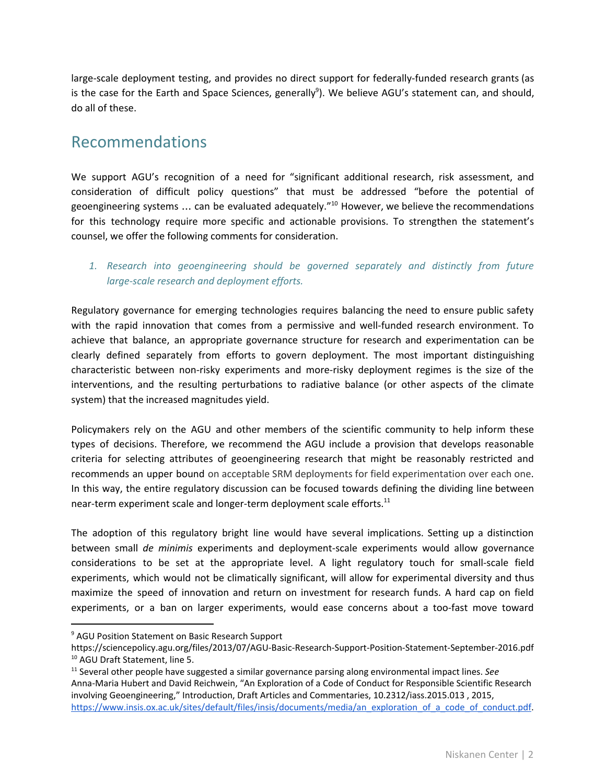large-scale deployment testing, and provides no direct support for federally-funded research grants (as is the case for the Earth and Space Sciences, generally<sup>9</sup>). We believe AGU's statement can, and should, do all of these.

## Recommendations

We support AGU's recognition of a need for "significant additional research, risk assessment, and consideration of difficult policy questions" that must be addressed "before the potential of geoengineering systems ... can be evaluated adequately."<sup>10</sup> However, we believe the recommendations for this technology require more specific and actionable provisions. To strengthen the statement's counsel, we offer the following comments for consideration.

### *1. Research into geoengineering should be governed separately and distinctly from future large-scale research and deployment efforts.*

Regulatory governance for emerging technologies requires balancing the need to ensure public safety with the rapid innovation that comes from a permissive and well-funded research environment. To achieve that balance, an appropriate governance structure for research and experimentation can be clearly defined separately from efforts to govern deployment. The most important distinguishing characteristic between non-risky experiments and more-risky deployment regimes is the size of the interventions, and the resulting perturbations to radiative balance (or other aspects of the climate system) that the increased magnitudes yield.

Policymakers rely on the AGU and other members of the scientific community to help inform these types of decisions. Therefore, we recommend the AGU include a provision that develops reasonable criteria for selecting attributes of geoengineering research that might be reasonably restricted and recommends an upper bound on acceptable SRM deployments for field experimentation over each one. In this way, the entire regulatory discussion can be focused towards defining the dividing line between near-term experiment scale and longer-term deployment scale efforts. $^{11}$ 

The adoption of this regulatory bright line would have several implications. Setting up a distinction between small *de minimis* experiments and deployment-scale experiments would allow governance considerations to be set at the appropriate level. A light regulatory touch for small-scale field experiments, which would not be climatically significant, will allow for experimental diversity and thus maximize the speed of innovation and return on investment for research funds. A hard cap on field experiments, or a ban on larger experiments, would ease concerns about a too-fast move toward

<sup>9</sup> AGU Position Statement on Basic Research Support

https://sciencepolicy.agu.org/files/2013/07/AGU-Basic-Research-Support-Position-Statement-September-2016.pdf <sup>10</sup> AGU Draft Statement, line 5.

<sup>11</sup> Several other people have suggested a similar governance parsing along environmental impact lines. *See* Anna-Maria Hubert and David Reichwein, "An Exploration of a Code of Conduct for Responsible Scientific Research involving Geoengineering," Introduction, Draft Articles and Commentaries, 10.2312/iass.2015.013 , 2015, [https://www.insis.ox.ac.uk/sites/default/files/insis/documents/media/an\\_exploration\\_of\\_a\\_code\\_of\\_conduct.pdf.](https://www.insis.ox.ac.uk/sites/default/files/insis/documents/media/an_exploration_of_a_code_of_conduct.pdf)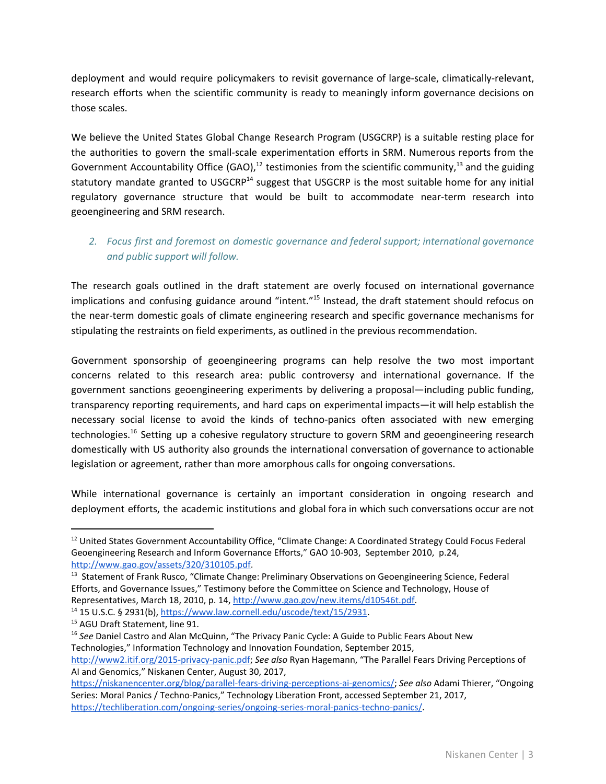deployment and would require policymakers to revisit governance of large-scale, climatically-relevant, research efforts when the scientific community is ready to meaningly inform governance decisions on those scales.

We believe the United States Global Change Research Program (USGCRP) is a suitable resting place for the authorities to govern the small-scale experimentation efforts in SRM. Numerous reports from the Government Accountability Office (GAO),<sup>12</sup> testimonies from the scientific community,<sup>13</sup> and the guiding statutory mandate granted to USGCRP<sup>14</sup> suggest that USGCRP is the most suitable home for any initial regulatory governance structure that would be built to accommodate near-term research into geoengineering and SRM research.

### *2. Focus first and foremost on domestic governance and federal support; international governance and public support will follow.*

The research goals outlined in the draft statement are overly focused on international governance implications and confusing guidance around "intent."<sup>15</sup> Instead, the draft statement should refocus on the near-term domestic goals of climate engineering research and specific governance mechanisms for stipulating the restraints on field experiments, as outlined in the previous recommendation.

Government sponsorship of geoengineering programs can help resolve the two most important concerns related to this research area: public controversy and international governance. If the government sanctions geoengineering experiments by delivering a proposal—including public funding, transparency reporting requirements, and hard caps on experimental impacts—it will help establish the necessary social license to avoid the kinds of techno-panics often associated with new emerging technologies.<sup>16</sup> Setting up a cohesive regulatory structure to govern SRM and geoengineering research domestically with US authority also grounds the international conversation of governance to actionable legislation or agreement, rather than more amorphous calls for ongoing conversations.

While international governance is certainly an important consideration in ongoing research and deployment efforts, the academic institutions and global fora in which such conversations occur are not

<sup>&</sup>lt;sup>12</sup> United States Government Accountability Office, "Climate Change: A Coordinated Strategy Could Focus Federal Geoengineering Research and Inform Governance Efforts," GAO 10-903, September 2010, p.24, [http://www.gao.gov/assets/320/310105.pdf.](http://www.gao.gov/assets/320/310105.pdf)

<sup>&</sup>lt;sup>13</sup> Statement of Frank Rusco, "Climate Change: Preliminary Observations on Geoengineering Science, Federal Efforts, and Governance Issues," Testimony before the Committee on Science and Technology, House of Representatives, March 18, 2010, p. 14, <http://www.gao.gov/new.items/d10546t.pdf>. <sup>14</sup> 15 U.S.C. § 2931(b), <https://www.law.cornell.edu/uscode/text/15/2931>.

<sup>&</sup>lt;sup>15</sup> AGU Draft Statement, line 91.

<sup>16</sup> *See* Daniel Castro and Alan McQuinn, "The Privacy Panic Cycle: A Guide to Public Fears About New Technologies," Information Technology and Innovation Foundation, September 2015, [http://www2.itif.org/2015-privacy-panic.pdf;](http://www2.itif.org/2015-privacy-panic.pdf) *See also* Ryan Hagemann, "The Parallel Fears Driving Perceptions of AI and Genomics," Niskanen Center, August 30, 2017,

[https://niskanencenter.org/blog/parallel-fears-driving-perceptions-ai-genomics/;](https://niskanencenter.org/blog/parallel-fears-driving-perceptions-ai-genomics/) *See also* Adami Thierer, "Ongoing Series: Moral Panics / Techno-Panics," Technology Liberation Front, accessed September 21, 2017, [https://techliberation.com/ongoing-series/ongoing-series-moral-panics-techno-panics/.](https://techliberation.com/ongoing-series/ongoing-series-moral-panics-techno-panics/)